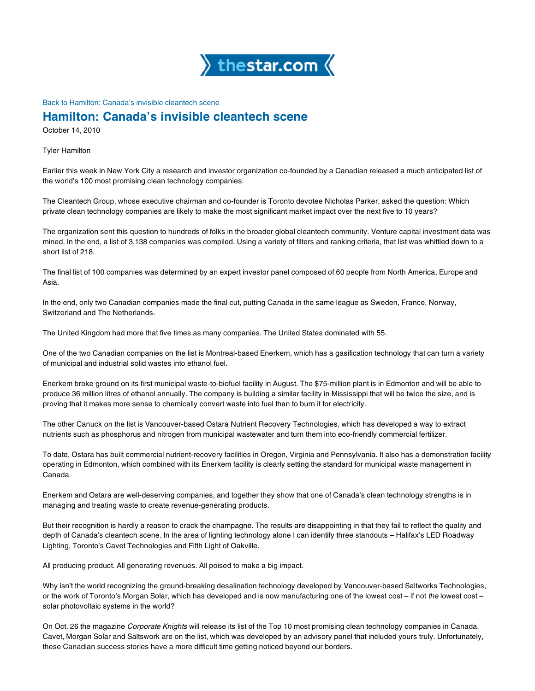

## Back to Hamilton: Canada's invisible cleantech scene

## **Hamilton: Canada's invisible cleantech scene**

October 14, 2010

Tyler Hamilton

Earlier this week in New York City a research and investor organization co-founded by a Canadian released a much anticipated list of the world's 100 most promising clean technology companies.

The Cleantech Group, whose executive chairman and co-founder is Toronto devotee Nicholas Parker, asked the question: Which private clean technology companies are likely to make the most significant market impact over the next five to 10 years?

The organization sent this question to hundreds of folks in the broader global cleantech community. Venture capital investment data was mined. In the end, a list of 3,138 companies was compiled. Using a variety of filters and ranking criteria, that list was whittled down to a short list of 218.

The final list of 100 companies was determined by an expert investor panel composed of 60 people from North America, Europe and Asia.

In the end, only two Canadian companies made the final cut, putting Canada in the same league as Sweden, France, Norway, Switzerland and The Netherlands.

The United Kingdom had more that five times as many companies. The United States dominated with 55.

One of the two Canadian companies on the list is Montreal-based Enerkem, which has a gasification technology that can turn a variety of municipal and industrial solid wastes into ethanol fuel.

Enerkem broke ground on its first municipal waste-to-biofuel facility in August. The \$75-million plant is in Edmonton and will be able to produce 36 million litres of ethanol annually. The company is building a similar facility in Mississippi that will be twice the size, and is proving that it makes more sense to chemically convert waste into fuel than to burn it for electricity.

The other Canuck on the list is Vancouver-based Ostara Nutrient Recovery Technologies, which has developed a way to extract nutrients such as phosphorus and nitrogen from municipal wastewater and turn them into eco-friendly commercial fertilizer.

To date, Ostara has built commercial nutrient-recovery facilities in Oregon, Virginia and Pennsylvania. It also has a demonstration facility operating in Edmonton, which combined with its Enerkem facility is clearly setting the standard for municipal waste management in Canada.

Enerkem and Ostara are well-deserving companies, and together they show that one of Canada's clean technology strengths is in managing and treating waste to create revenue-generating products.

But their recognition is hardly a reason to crack the champagne. The results are disappointing in that they fail to reflect the quality and depth of Canada's cleantech scene. In the area of lighting technology alone I can identify three standouts – Halifax's LED Roadway Lighting, Toronto's Cavet Technologies and Fifth Light of Oakville.

All producing product. All generating revenues. All poised to make a big impact.

Why isn't the world recognizing the ground-breaking desalination technology developed by Vancouver-based Saltworks Technologies, or the work of Toronto's Morgan Solar, which has developed and is now manufacturing one of the lowest cost – if not *the* lowest cost – solar photovoltaic systems in the world?

On Oct. 26 the magazine *Corporate Knights* will release its list of the Top 10 most promising clean technology companies in Canada. Cavet, Morgan Solar and Saltswork are on the list, which was developed by an advisory panel that included yours truly. Unfortunately, these Canadian success stories have a more difficult time getting noticed beyond our borders.